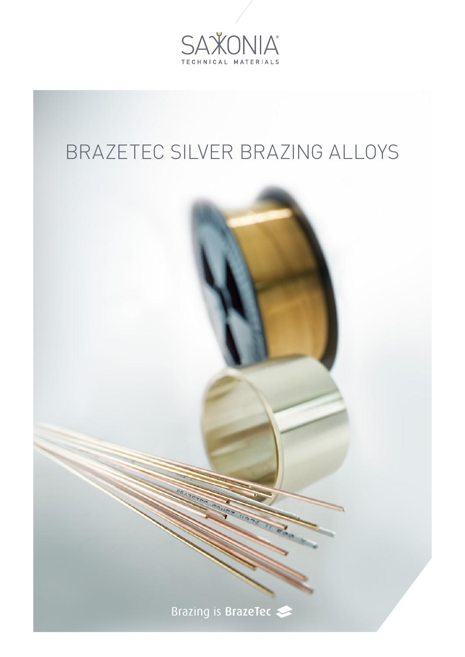

## BRAZETEC SILVER BRAZING ALLOYS